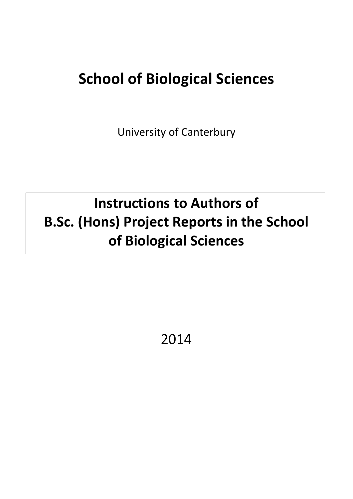# **School of Biological Sciences**

University of Canterbury

# **Instructions to Authors of B.Sc. (Hons) Project Reports in the School of Biological Sciences**

2014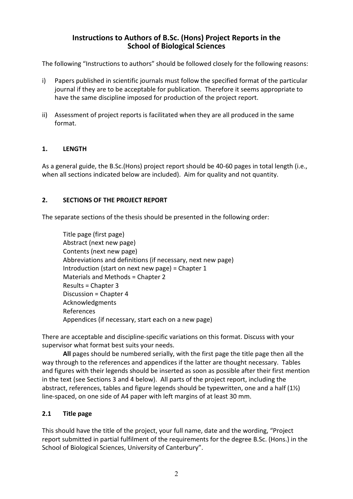# **Instructions to Authors of B.Sc. (Hons) Project Reports in the School of Biological Sciences**

The following "Instructions to authors" should be followed closely for the following reasons:

- i) Papers published in scientific journals must follow the specified format of the particular journal if they are to be acceptable for publication. Therefore it seems appropriate to have the same discipline imposed for production of the project report.
- ii) Assessment of project reports is facilitated when they are all produced in the same format.

## **1. LENGTH**

As a general guide, the B.Sc.(Hons) project report should be 40-60 pages in total length (i.e., when all sections indicated below are included). Aim for quality and not quantity.

## **2. SECTIONS OF THE PROJECT REPORT**

The separate sections of the thesis should be presented in the following order:

Title page (first page) Abstract (next new page) Contents (next new page) Abbreviations and definitions (if necessary, next new page) Introduction (start on next new page) = Chapter 1 Materials and Methods = Chapter 2 Results = Chapter 3 Discussion = Chapter 4 Acknowledgments References Appendices (if necessary, start each on a new page)

There are acceptable and discipline-specific variations on this format. Discuss with your supervisor what format best suits your needs.

**All** pages should be numbered serially, with the first page the title page then all the way through to the references and appendices if the latter are thought necessary. Tables and figures with their legends should be inserted as soon as possible after their first mention in the text (see Sections 3 and 4 below). All parts of the project report, including the abstract, references, tables and figure legends should be typewritten, one and a half (1½) line-spaced, on one side of A4 paper with left margins of at least 30 mm.

## **2.1 Title page**

This should have the title of the project, your full name, date and the wording, "Project report submitted in partial fulfilment of the requirements for the degree B.Sc. (Hons.) in the School of Biological Sciences, University of Canterbury".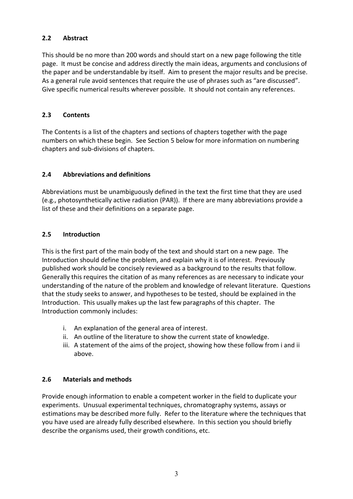# **2.2 Abstract**

This should be no more than 200 words and should start on a new page following the title page. It must be concise and address directly the main ideas, arguments and conclusions of the paper and be understandable by itself. Aim to present the major results and be precise. As a general rule avoid sentences that require the use of phrases such as "are discussed". Give specific numerical results wherever possible. It should not contain any references.

# **2.3 Contents**

The Contents is a list of the chapters and sections of chapters together with the page numbers on which these begin. See Section 5 below for more information on numbering chapters and sub-divisions of chapters.

# **2.4 Abbreviations and definitions**

Abbreviations must be unambiguously defined in the text the first time that they are used (e.g., photosynthetically active radiation (PAR)). If there are many abbreviations provide a list of these and their definitions on a separate page.

## **2.5 Introduction**

This is the first part of the main body of the text and should start on a new page. The Introduction should define the problem, and explain why it is of interest. Previously published work should be concisely reviewed as a background to the results that follow. Generally this requires the citation of as many references as are necessary to indicate your understanding of the nature of the problem and knowledge of relevant literature. Questions that the study seeks to answer, and hypotheses to be tested, should be explained in the Introduction. This usually makes up the last few paragraphs of this chapter. The Introduction commonly includes:

- i. An explanation of the general area of interest.
- ii. An outline of the literature to show the current state of knowledge.
- iii. A statement of the aims of the project, showing how these follow from i and ii above.

# **2.6 Materials and methods**

Provide enough information to enable a competent worker in the field to duplicate your experiments. Unusual experimental techniques, chromatography systems, assays or estimations may be described more fully. Refer to the literature where the techniques that you have used are already fully described elsewhere. In this section you should briefly describe the organisms used, their growth conditions, etc.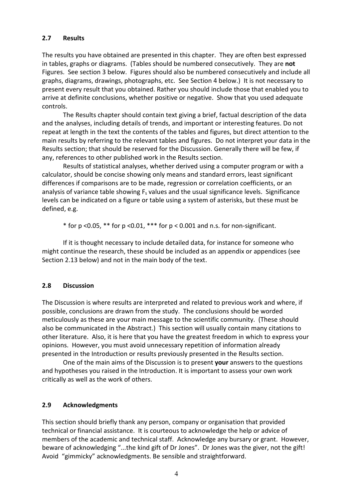## **2.7 Results**

The results you have obtained are presented in this chapter. They are often best expressed in tables, graphs or diagrams. (Tables should be numbered consecutively. They are **not** Figures. See section 3 below. Figures should also be numbered consecutively and include all graphs, diagrams, drawings, photographs, etc. See Section 4 below.) It is not necessary to present every result that you obtained. Rather you should include those that enabled you to arrive at definite conclusions, whether positive or negative. Show that you used adequate controls.

The Results chapter should contain text giving a brief, factual description of the data and the analyses, including details of trends, and important or interesting features. Do not repeat at length in the text the contents of the tables and figures, but direct attention to the main results by referring to the relevant tables and figures. Do not interpret your data in the Results section; that should be reserved for the Discussion. Generally there will be few, if any, references to other published work in the Results section.

Results of statistical analyses, whether derived using a computer program or with a calculator, should be concise showing only means and standard errors, least significant differences if comparisons are to be made, regression or correlation coefficients, or an analysis of variance table showing  $F_s$  values and the usual significance levels. Significance levels can be indicated on a figure or table using a system of asterisks, but these must be defined, e.g.

 $*$  for p <0.05,  $**$  for p <0.01,  $***$  for p < 0.001 and n.s. for non-significant.

If it is thought necessary to include detailed data, for instance for someone who might continue the research, these should be included as an appendix or appendices (see Section 2.13 below) and not in the main body of the text.

#### **2.8 Discussion**

The Discussion is where results are interpreted and related to previous work and where, if possible, conclusions are drawn from the study. The conclusions should be worded meticulously as these are your main message to the scientific community. (These should also be communicated in the Abstract.) This section will usually contain many citations to other literature. Also, it is here that you have the greatest freedom in which to express your opinions. However, you must avoid unnecessary repetition of information already presented in the Introduction or results previously presented in the Results section.

One of the main aims of the Discussion is to present **your** answers to the questions and hypotheses you raised in the Introduction. It is important to assess your own work critically as well as the work of others.

#### **2.9 Acknowledgments**

This section should briefly thank any person, company or organisation that provided technical or financial assistance. It is courteous to acknowledge the help or advice of members of the academic and technical staff. Acknowledge any bursary or grant. However, beware of acknowledging "...the kind gift of Dr Jones". Dr Jones was the giver, not the gift! Avoid "gimmicky" acknowledgments. Be sensible and straightforward.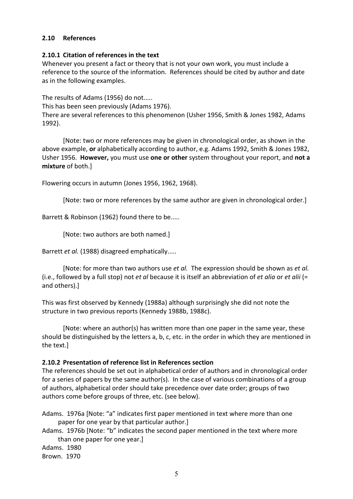#### **2.10 References**

#### **2.10.1 Citation of references in the text**

Whenever you present a fact or theory that is not your own work, you must include a reference to the source of the information. References should be cited by author and date as in the following examples.

The results of Adams (1956) do not.....

This has been seen previously (Adams 1976).

There are several references to this phenomenon (Usher 1956, Smith & Jones 1982, Adams 1992).

[Note: two or more references may be given in chronological order, as shown in the above example, **or** alphabetically according to author, e.g. Adams 1992, Smith & Jones 1982, Usher 1956. **However,** you must use **one or other** system throughout your report, and **not a mixture** of both.]

Flowering occurs in autumn (Jones 1956, 1962, 1968).

[Note: two or more references by the same author are given in chronological order.]

Barrett & Robinson (1962) found there to be.....

[Note: two authors are both named.]

Barrett *et al.* (1988) disagreed emphatically.....

[Note: for more than two authors use *et al.* The expression should be shown as *et al.* (i.e., followed by a full stop) not *et al* because it is itself an abbreviation of *et alia* or *et alii* (= and others).]

This was first observed by Kennedy (1988a) although surprisingly she did not note the structure in two previous reports (Kennedy 1988b, 1988c).

[Note: where an author(s) has written more than one paper in the same year, these should be distinguished by the letters a, b, c, etc. in the order in which they are mentioned in the text.]

#### **2.10.2 Presentation of reference list in References section**

The references should be set out in alphabetical order of authors and in chronological order for a series of papers by the same author(s). In the case of various combinations of a group of authors, alphabetical order should take precedence over date order; groups of two authors come before groups of three, etc. (see below).

Adams. 1976a [Note: "a" indicates first paper mentioned in text where more than one paper for one year by that particular author.]

Adams. 1976b [Note: "b" indicates the second paper mentioned in the text where more than one paper for one year.]

Adams. 1980

Brown. 1970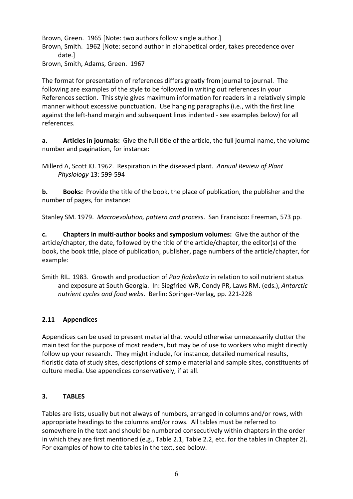Brown, Green. 1965 [Note: two authors follow single author.] Brown, Smith. 1962 [Note: second author in alphabetical order, takes precedence over date.] Brown, Smith, Adams, Green. 1967

The format for presentation of references differs greatly from journal to journal. The following are examples of the style to be followed in writing out references in your References section. This style gives maximum information for readers in a relatively simple manner without excessive punctuation. Use hanging paragraphs (i.e., with the first line against the left-hand margin and subsequent lines indented - see examples below) for all references.

**a. Articles in journals:** Give the full title of the article, the full journal name, the volume number and pagination, for instance:

Millerd A, Scott KJ. 1962. Respiration in the diseased plant. *Annual Review of Plant Physiology* 13: 599-594

**b. Books:** Provide the title of the book, the place of publication, the publisher and the number of pages, for instance:

Stanley SM. 1979. *Macroevolution, pattern and process*. San Francisco: Freeman, 573 pp.

**c. Chapters in multi-author books and symposium volumes:** Give the author of the article/chapter, the date, followed by the title of the article/chapter, the editor(s) of the book, the book title, place of publication, publisher, page numbers of the article/chapter, for example:

Smith RIL. 1983. Growth and production of *Poa flabellata* in relation to soil nutrient status and exposure at South Georgia. In: Siegfried WR, Condy PR, Laws RM. (eds.), *Antarctic nutrient cycles and food webs*. Berlin: Springer-Verlag, pp. 221-228

# **2.11 Appendices**

Appendices can be used to present material that would otherwise unnecessarily clutter the main text for the purpose of most readers, but may be of use to workers who might directly follow up your research. They might include, for instance, detailed numerical results, floristic data of study sites, descriptions of sample material and sample sites, constituents of culture media. Use appendices conservatively, if at all.

## **3. TABLES**

Tables are lists, usually but not always of numbers, arranged in columns and/or rows, with appropriate headings to the columns and/or rows. All tables must be referred to somewhere in the text and should be numbered consecutively within chapters in the order in which they are first mentioned (e.g., Table 2.1, Table 2.2, etc. for the tables in Chapter 2). For examples of how to cite tables in the text, see below.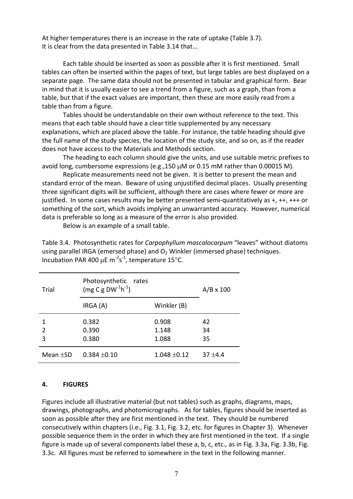At higher temperatures there is an increase in the rate of uptake (Table 3.7). It is clear from the data presented in Table 3.14 that...

Each table should be inserted as soon as possible after it is first mentioned. Small tables can often be inserted within the pages of text, but large tables are best displayed on a separate page. The same data should not be presented in tabular and graphical form. Bear in mind that it is usually easier to see a trend from a figure, such as a graph, than from a table, but that if the exact values are important, then these are more easily read from a table than from a figure.

Tables should be understandable on their own without reference to the text. This means that each table should have a clear title supplemented by any necessary explanations, which are placed above the table. For instance, the table heading should give the full name of the study species, the location of the study site, and so on, as if the reader does not have access to the Materials and Methods section.

The heading to each column should give the units, and use suitable metric prefixes to avoid long, cumbersome expressions (e.g.,150 µM or 0.15 mM rather than 0.00015 M).

Replicate measurements need not be given. It is better to present the mean and standard error of the mean. Beware of using unjustified decimal places. Usually presenting three significant digits will be sufficient, although there are cases where fewer or more are justified. In some cases results may be better presented semi-quantitatively as +, ++, +++ or something of the sort, which avoids implying an unwarranted accuracy. However, numerical data is preferable so long as a measure of the error is also provided.

Below is an example of a small table.

Table 3.4. Photosynthetic rates for *Carpophyllum mascalocarpum* "leaves" without diatoms using parallel IRGA (emersed phase) and  $O<sub>2</sub>$  Winkler (immersed phase) techniques. Incubation PAR 400 µE  $m^{-2}s^{-1}$ , temperature 15°C.

| Trial          | Photosynthetic<br>rates<br>$(mg C g DW-1h-1)$ |                  | $A/B \times 100$ |
|----------------|-----------------------------------------------|------------------|------------------|
|                | IRGA (A)                                      | Winkler (B)      |                  |
| $\overline{2}$ | 0.382<br>0.390                                | 0.908<br>1.148   | 42<br>34         |
| 3              | 0.380                                         | 1.088            | 35               |
| Mean $\pm$ SD  | $0.384 \pm 0.10$                              | $1.048 \pm 0.12$ | $37 + 4.4$       |

#### **4. FIGURES**

Figures include all illustrative material (but not tables) such as graphs, diagrams, maps, drawings, photographs, and photomicrographs. As for tables, figures should be inserted as soon as possible after they are first mentioned in the text. They should be numbered consecutively within chapters (i.e., Fig. 3.1, Fig. 3.2, etc. for figures in Chapter 3). Whenever possible sequence them in the order in which they are first mentioned in the text. If a single figure is made up of several components label these a, b, c, etc., as in Fig. 3.3a, Fig. 3.3b, Fig. 3.3c. All figures must be referred to somewhere in the text in the following manner.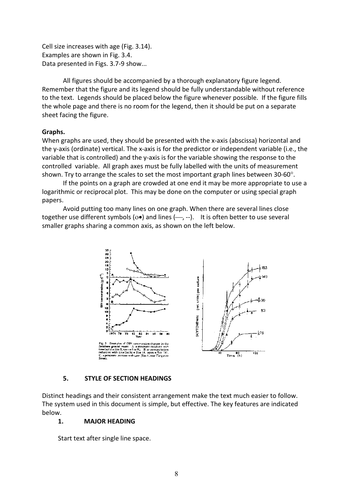Cell size increases with age (Fig. 3.14). Examples are shown in Fig. 3.4. Data presented in Figs. 3.7-9 show...

All figures should be accompanied by a thorough explanatory figure legend. Remember that the figure and its legend should be fully understandable without reference to the text. Legends should be placed below the figure whenever possible. If the figure fills the whole page and there is no room for the legend, then it should be put on a separate sheet facing the figure.

#### **Graphs.**

When graphs are used, they should be presented with the x-axis (abscissa) horizontal and the y-axis (ordinate) vertical. The x-axis is for the predictor or independent variable (i.e., the variable that is controlled) and the y-axis is for the variable showing the response to the controlled variable. All graph axes must be fully labelled with the units of measurement shown. Try to arrange the scales to set the most important graph lines between  $30$ - $60^{\circ}$ .

If the points on a graph are crowded at one end it may be more appropriate to use a logarithmic or reciprocal plot. This may be done on the computer or using special graph papers.

Avoid putting too many lines on one graph. When there are several lines close together use different symbols ( $\circ$ •) and lines ( $\leftarrow$ , --). It is often better to use several smaller graphs sharing a common axis, as shown on the left below.



#### **5. STYLE OF SECTION HEADINGS**

Distinct headings and their consistent arrangement make the text much easier to follow. The system used in this document is simple, but effective. The key features are indicated below.

#### **1. MAJOR HEADING**

Start text after single line space.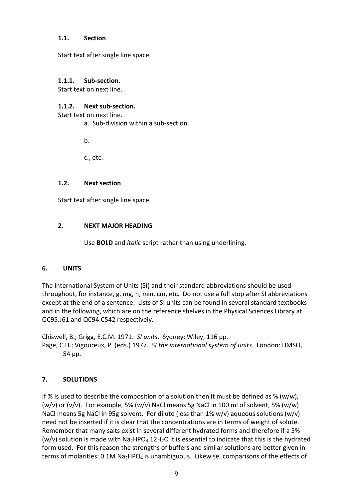#### **1.1. Section**

Start text after single line space.

## **1.1.1. Sub-section.**

Start text on next line.

## **1.1.2. Next sub-section.**

Start text on next line.

a. Sub-division within a sub-section.

b.

c., etc.

#### **1.2. Next section**

Start text after single line space.

## **2. NEXT MAJOR HEADING**

Use **BOLD** and *italic* script rather than using underlining.

## **6. UNITS**

The International System of Units (SI) and their standard abbreviations should be used throughout, for instance, g, mg, h, min, cm, etc. Do not use a full stop after SI abbreviations except at the end of a sentence. Lists of SI units can be found in several standard textbooks and in the following, which are on the reference shelves in the Physical Sciences Library at QC95.J61 and QC94.C542 respectively.

Chiswell, B.; Grigg, E.C.M. 1971. *SI units*. Sydney: Wiley, 116 pp. Page, C.H.; Vigoureux, P. (eds.) 1977. *SI the international system of units*. London: HMSO, 54 pp.

## **7. SOLUTIONS**

If % is used to describe the composition of a solution then it must be defined as % (w/w), (w/v) or (v/v). For example, 5% (w/v) NaCl means 5g NaCl in 100 ml of solvent, 5% (w/w) NaCl means 5g NaCl in 95g solvent. For dilute (less than 1% w/v) aqueous solutions (w/v) need not be inserted if it is clear that the concentrations are in terms of weight of solute. Remember that many salts exist in several different hydrated forms and therefore if a 5% (w/v) solution is made with  $Na<sub>2</sub>HPO<sub>4</sub>$ .12H<sub>2</sub>O it is essential to indicate that this is the hydrated form used. For this reason the strengths of buffers and similar solutions are better given in terms of molarities:  $0.1M$  Na<sub>2</sub>HPO<sub>4</sub> is unambiguous. Likewise, comparisons of the effects of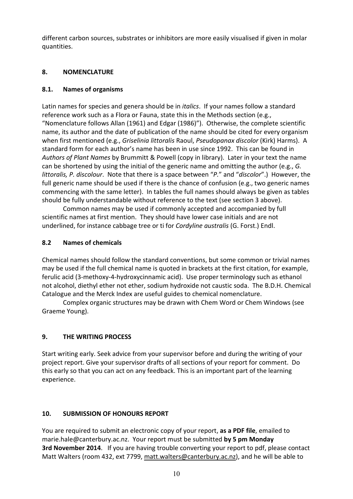different carbon sources, substrates or inhibitors are more easily visualised if given in molar quantities.

# **8. NOMENCLATURE**

# **8.1. Names of organisms**

Latin names for species and genera should be in *italics*. If your names follow a standard reference work such as a Flora or Fauna, state this in the Methods section (e.g., "Nomenclature follows Allan (1961) and Edgar (1986)"). Otherwise, the complete scientific name, its author and the date of publication of the name should be cited for every organism when first mentioned (e.g., *Griselinia littoralis* Raoul, *Pseudopanax discolor* (Kirk) Harms). A standard form for each author's name has been in use since 1992. This can be found in *Authors of Plant Names* by Brummitt & Powell (copy in library). Later in your text the name can be shortened by using the initial of the generic name and omitting the author (e.g., *G. littoralis, P. discolour*. Note that there is a space between "*P.*" and "*discolor*".) However, the full generic name should be used if there is the chance of confusion (e.g., two generic names commencing with the same letter). In tables the full names should always be given as tables should be fully understandable without reference to the text (see section 3 above).

Common names may be used if commonly accepted and accompanied by full scientific names at first mention. They should have lower case initials and are not underlined, for instance cabbage tree or ti for *Cordyline australis* (G. Forst.) Endl.

# **8.2 Names of chemicals**

Chemical names should follow the standard conventions, but some common or trivial names may be used if the full chemical name is quoted in brackets at the first citation, for example, ferulic acid (3-methoxy-4-hydroxycinnamic acid). Use proper terminology such as ethanol not alcohol, diethyl ether not ether, sodium hydroxide not caustic soda. The B.D.H. Chemical Catalogue and the Merck Index are useful guides to chemical nomenclature.

Complex organic structures may be drawn with Chem Word or Chem Windows (see Graeme Young).

# **9. THE WRITING PROCESS**

Start writing early. Seek advice from your supervisor before and during the writing of your project report. Give your supervisor drafts of all sections of your report for comment. Do this early so that you can act on any feedback. This is an important part of the learning experience.

# **10. SUBMISSION OF HONOURS REPORT**

You are required to submit an electronic copy of your report, **as a PDF file**, emailed to marie.hale@canterbury.ac.nz. Your report must be submitted **by 5 pm Monday 3rd November 2014**. If you are having trouble converting your report to pdf, please contact Matt Walters (room 432, ext 7799, [matt.walters@canterbury.ac.nz\)](mailto:matt.walters@canterbury.ac.nz), and he will be able to